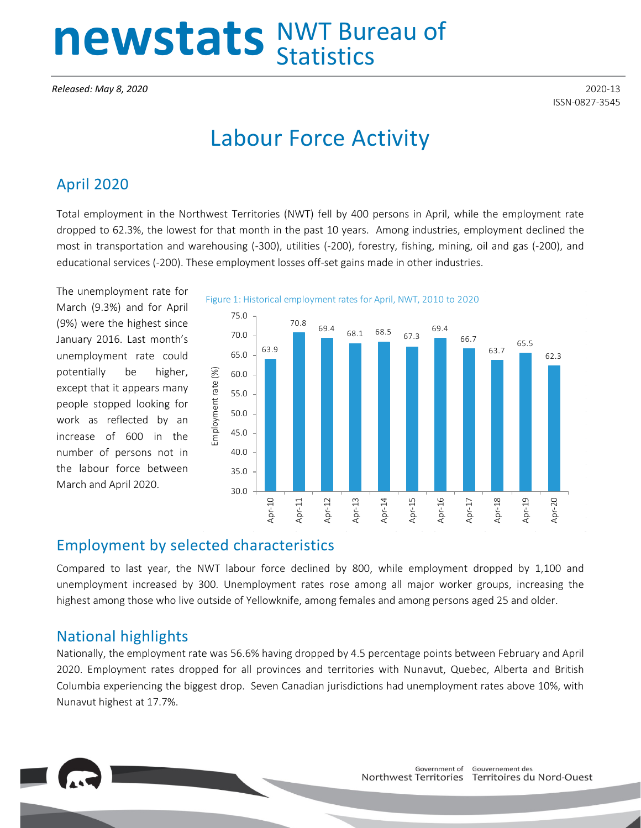# newstats NWT Bureau of

**Released: May 8, 2020** 2020-13

ISSN-0827-3545

## Labour Force Activity

### April 2020

Total employment in the Northwest Territories (NWT) fell by 400 persons in April, while the employment rate dropped to 62.3%, the lowest for that month in the past 10 years. Among industries, employment declined the most in transportation and warehousing (-300), utilities (-200), forestry, fishing, mining, oil and gas (-200), and educational services (-200). These employment losses off-set gains made in other industries.

The unemployment rate for March (9.3%) and for April (9%) were the highest since January 2016. Last month's unemployment rate could potentially be higher, except that it appears many people stopped looking for work as reflected by an increase of 600 in the number of persons not in the labour force between March and April 2020.



#### Employment by selected characteristics

Compared to last year, the NWT labour force declined by 800, while employment dropped by 1,100 and unemployment increased by 300. Unemployment rates rose among all major worker groups, increasing the highest among those who live outside of Yellowknife, among females and among persons aged 25 and older.

#### National highlights

Nationally, the employment rate was 56.6% having dropped by 4.5 percentage points between February and April 2020. Employment rates dropped for all provinces and territories with Nunavut, Quebec, Alberta and British Columbia experiencing the biggest drop. Seven Canadian jurisdictions had unemployment rates above 10%, with Nunavut highest at 17.7%.